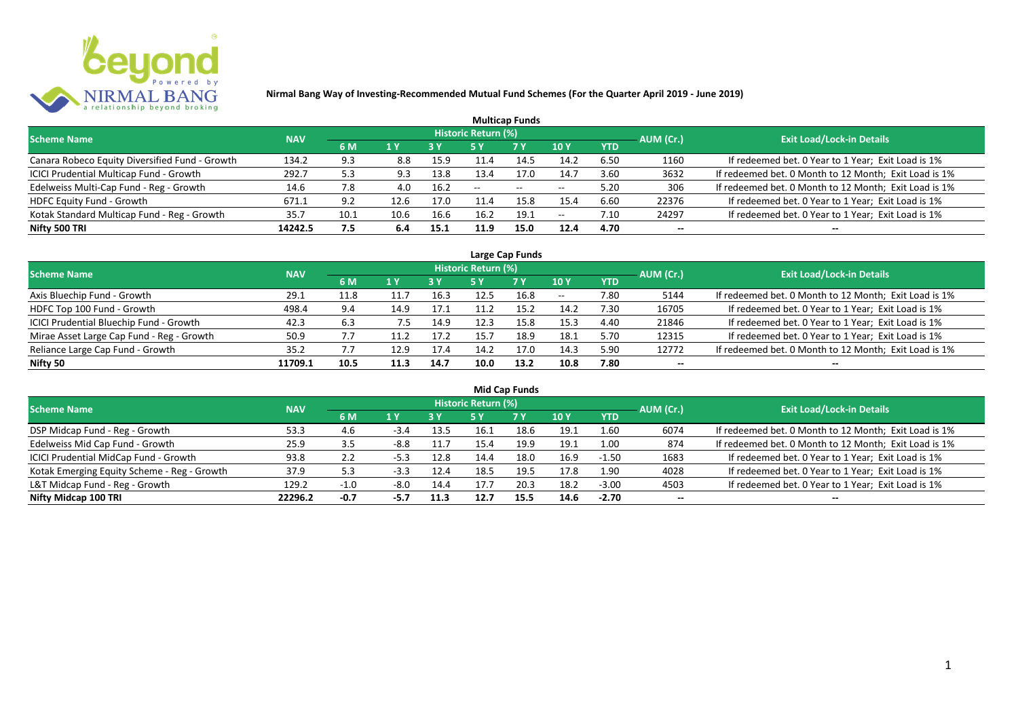

| <b>Multicap Funds</b>                          |            |      |      |           |                            |                          |                          |      |           |                                                       |  |  |  |  |
|------------------------------------------------|------------|------|------|-----------|----------------------------|--------------------------|--------------------------|------|-----------|-------------------------------------------------------|--|--|--|--|
| <b>Scheme Name</b>                             | <b>NAV</b> |      |      |           | <b>Historic Return (%)</b> |                          |                          |      | AUM (Cr.) | <b>Exit Load/Lock-in Details</b>                      |  |  |  |  |
|                                                |            | 6 M  | 1 Y  | <b>3Y</b> |                            | <b>7Y</b>                | <b>10Y</b>               | YTD  |           |                                                       |  |  |  |  |
| Canara Robeco Equity Diversified Fund - Growth | 134.2      | 9.3  | 8.8  | 15.9      | 11.4                       | 14.5                     | 14.2                     | 6.50 | 1160      | If redeemed bet. 0 Year to 1 Year; Exit Load is 1%    |  |  |  |  |
| ICICI Prudential Multicap Fund - Growth        | 292.7      | 5.3  | 9.3  | 13.8      | 13.4                       | 17.0                     | 14.7                     | 3.60 | 3632      | If redeemed bet. 0 Month to 12 Month; Exit Load is 1% |  |  |  |  |
| Edelweiss Multi-Cap Fund - Reg - Growth        | 14.6       | 7.8  | 4.0  | 16.2      | $- -$                      | $\overline{\phantom{a}}$ | $\hspace{0.05cm} \ldots$ | 5.20 | 306       | If redeemed bet. 0 Month to 12 Month; Exit Load is 1% |  |  |  |  |
| HDFC Equity Fund - Growth                      | 671.1      | 9.2  | 12.6 | 17.0      | 11.4                       | 15.8                     | 15.4                     | 6.60 | 22376     | If redeemed bet. 0 Year to 1 Year; Exit Load is 1%    |  |  |  |  |
| Kotak Standard Multicap Fund - Reg - Growth    | 35.7       | 10.1 | 10.6 | 16.6      | 16.2                       | 19.1                     | н.                       | 7.10 | 24297     | If redeemed bet. 0 Year to 1 Year; Exit Load is 1%    |  |  |  |  |
| Nifty 500 TRI                                  | 14242.5    | 7.5  | 6.4  | 15.1      | 11.9                       | 15.0                     | 12.4                     | 4.70 | $- -$     | $- -$                                                 |  |  |  |  |

| Large Cap Funds                           |            |      |      |      |                            |           |            |            |           |                                                       |  |  |  |
|-------------------------------------------|------------|------|------|------|----------------------------|-----------|------------|------------|-----------|-------------------------------------------------------|--|--|--|
| <b>Scheme Name</b>                        | <b>NAV</b> |      |      |      | <b>Historic Return (%)</b> |           |            |            | AUM (Cr.) | <b>Exit Load/Lock-in Details</b>                      |  |  |  |
|                                           |            | 6 M  | 1 Y  | 3 Y  | 5 Y                        | <b>7Y</b> | 10Y        | <b>YTD</b> |           |                                                       |  |  |  |
| Axis Bluechip Fund - Growth               | 29.1       | 11.8 |      | 16.3 | 12.5                       | 16.8      | $\sim$ $-$ | 7.80       | 5144      | If redeemed bet. 0 Month to 12 Month; Exit Load is 1% |  |  |  |
| HDFC Top 100 Fund - Growth                | 498.4      | 9.4  | 14.9 | 17.1 | 11.2                       | 15.2      | 14.2       | 7.30       | 16705     | If redeemed bet. 0 Year to 1 Year; Exit Load is 1%    |  |  |  |
| ICICI Prudential Bluechip Fund - Growth   | 42.3       | 6.3  | 7.5  | 14.9 | 12.3                       | 15.8      | 15.3       | 4.40       | 21846     | If redeemed bet. 0 Year to 1 Year; Exit Load is 1%    |  |  |  |
| Mirae Asset Large Cap Fund - Reg - Growth | 50.9       | 7.7  | 11.2 | 17.2 | 15.7                       | 18.9      | 18.1       | 5.70       | 12315     | If redeemed bet. 0 Year to 1 Year; Exit Load is 1%    |  |  |  |
| Reliance Large Cap Fund - Growth          | 35.2       |      | 12.9 | 17.4 | 14.2                       | 17.0      | 14.3       | 5.90       | 12772     | If redeemed bet. 0 Month to 12 Month; Exit Load is 1% |  |  |  |
| Nifty 50                                  | 11709.1    | 10.5 | 11.3 | 14.7 | 10.0                       | 13.2      | 10.8       | 7.80       | $- -$     |                                                       |  |  |  |

| <b>Mid Cap Funds</b>                        |            |        |        |      |                            |      |      |            |                          |                                                       |  |  |  |
|---------------------------------------------|------------|--------|--------|------|----------------------------|------|------|------------|--------------------------|-------------------------------------------------------|--|--|--|
| Scheme Name                                 | <b>NAV</b> |        |        |      | <b>Historic Return (%)</b> |      |      |            | AUM (Cr.)                | <b>Exit Load/Lock-in Details</b>                      |  |  |  |
|                                             |            | 6 M    | 1 Y    | 3 Y  | 5 Y                        | 7 Y  | 10 Y | <b>YTD</b> |                          |                                                       |  |  |  |
| DSP Midcap Fund - Reg - Growth              | 53.3       | -4.6   | $-3.4$ | 13.5 | 16.1                       | 18.6 | 19.1 | 1.60       | 6074                     | If redeemed bet. 0 Month to 12 Month; Exit Load is 1% |  |  |  |
| Edelweiss Mid Cap Fund - Growth             | 25.9       | 3.5    | $-8.8$ | 11.7 | 15.4                       | 19.9 | 19.1 | 1.00       | 874                      | If redeemed bet. 0 Month to 12 Month; Exit Load is 1% |  |  |  |
| ICICI Prudential MidCap Fund - Growth       | 93.8       | 2.2    | $-5.3$ | 12.8 | 14.4                       | 18.0 | 16.9 | $-1.50$    | 1683                     | If redeemed bet. 0 Year to 1 Year; Exit Load is 1%    |  |  |  |
| Kotak Emerging Equity Scheme - Reg - Growth | 37.9       | 5.3    | $-3.3$ | 12.4 | 18.5                       | 19.5 | 17.8 | 1.90       | 4028                     | If redeemed bet. 0 Year to 1 Year; Exit Load is 1%    |  |  |  |
| L&T Midcap Fund - Reg - Growth              | 129.2      | $-1.0$ | $-8.0$ | 14.4 | 17.7                       | 20.3 | 18.2 | $-3.00$    | 4503                     | If redeemed bet. 0 Year to 1 Year; Exit Load is 1%    |  |  |  |
| Nifty Midcap 100 TRI                        | 22296.2    | $-0.7$ | -5.7   | 11.3 | 12.7                       | 15.5 | 14.6 | -2.70      | $\overline{\phantom{a}}$ | --                                                    |  |  |  |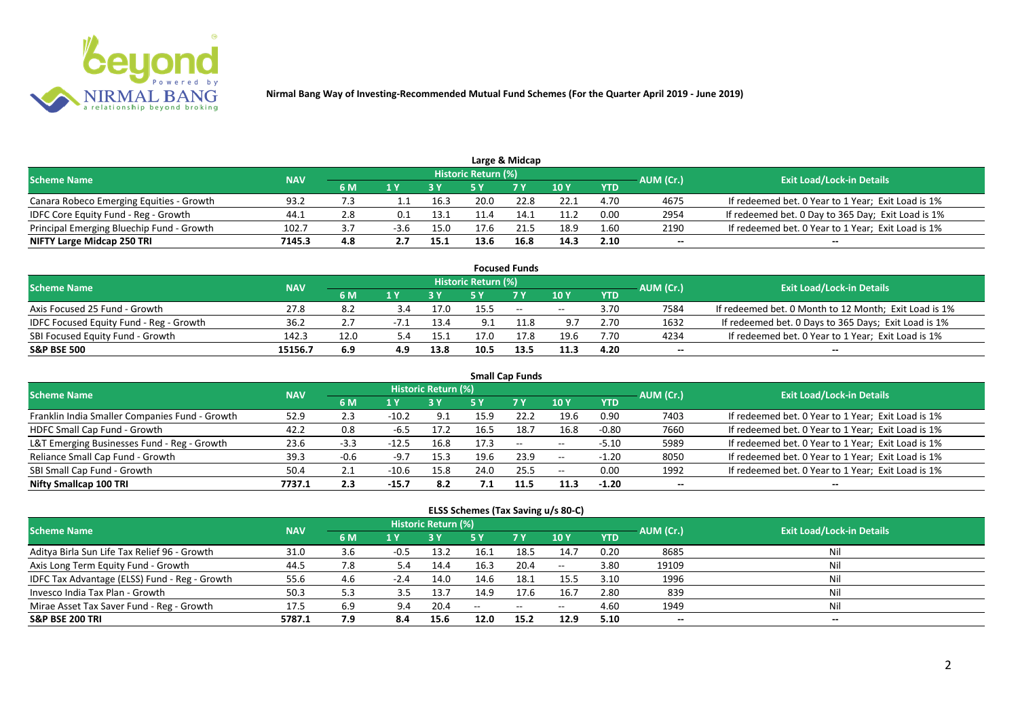

| Large & Midcap                            |            |     |        |      |                            |                |      |            |           |                                                    |  |  |  |
|-------------------------------------------|------------|-----|--------|------|----------------------------|----------------|------|------------|-----------|----------------------------------------------------|--|--|--|
| <b>Scheme Name</b>                        | <b>NAV</b> |     |        |      | <b>Historic Return (%)</b> |                |      |            | AUM (Cr.) | <b>Exit Load/Lock-in Details</b>                   |  |  |  |
|                                           |            | 6 M |        |      |                            | 7 <sub>Y</sub> | 10Y  | <b>YTD</b> |           |                                                    |  |  |  |
| Canara Robeco Emerging Equities - Growth  | 93.2       |     |        | 16.3 | 20.0                       | 22.8           | 22.1 | 4.70       | 4675      | If redeemed bet. 0 Year to 1 Year; Exit Load is 1% |  |  |  |
| IDFC Core Equity Fund - Reg - Growth      | 44.1       |     | 0.1    | 13.1 |                            | 14.1           | 11.2 | 0.00       | 2954      | If redeemed bet. 0 Day to 365 Day; Exit Load is 1% |  |  |  |
| Principal Emerging Bluechip Fund - Growth | 102.7      |     | $-3.6$ | 15.0 | 17.6                       |                | 18.9 | 1.60       | 2190      | If redeemed bet. 0 Year to 1 Year; Exit Load is 1% |  |  |  |
| NIFTY Large Midcap 250 TRI                | 7145.3     | 4.8 |        | 15.1 | 13.6                       | 16.8           | 14.3 | 2.10       | --        | $- -$                                              |  |  |  |

|                                         |            |      |     |      |                            | <b>Focused Funds</b> |             |            |           |                                                       |
|-----------------------------------------|------------|------|-----|------|----------------------------|----------------------|-------------|------------|-----------|-------------------------------------------------------|
| <b>Scheme Name</b>                      | <b>NAV</b> |      |     |      | <b>Historic Return (%)</b> |                      |             |            | AUM (Cr.) | <b>Exit Load/Lock-in Details</b>                      |
|                                         |            | 6 M  |     |      |                            | 7 Y                  | <b>10 Y</b> | <b>YTD</b> |           |                                                       |
| Axis Focused 25 Fund - Growth           | 27.8       | 8.2  | 3.4 | 17.0 | 15.5                       | $  \,$               | $- -$       | 3.70       | 7584      | If redeemed bet. 0 Month to 12 Month; Exit Load is 1% |
| IDFC Focused Equity Fund - Reg - Growth | 36.2       |      |     | 13.4 | 9.1                        |                      | 9.7         | 2.70       | 1632      | If redeemed bet. 0 Days to 365 Days; Exit Load is 1%  |
| SBI Focused Equity Fund - Growth        | 142.3      | 12.0 | 5.4 | 15.1 | 17.0                       | 17.8                 | 19.6        | 7.70       | 4234      | If redeemed bet. 0 Year to 1 Year; Exit Load is 1%    |
| <b>S&amp;P BSE 500</b>                  | 15156.7    | 6.9  | 4.9 | 13.8 | 10.5                       | 13.5                 | 11.3        | 4.20       | --        | $- -$                                                 |

| <b>Small Cap Funds</b>                         |            |        |         |                            |      |        |                          |            |           |                                                    |  |  |  |
|------------------------------------------------|------------|--------|---------|----------------------------|------|--------|--------------------------|------------|-----------|----------------------------------------------------|--|--|--|
| <b>Scheme Name</b>                             | <b>NAV</b> |        |         | <b>Historic Return (%)</b> |      |        |                          |            | AUM (Cr.) | <b>Exit Load/Lock-in Details</b>                   |  |  |  |
|                                                |            | 6 M    | 1 Y     |                            |      | 7Y     | <b>10Y</b>               | <b>YTD</b> |           |                                                    |  |  |  |
| Franklin India Smaller Companies Fund - Growth | 52.9       | 2.3    | $-10.2$ | 9.1                        | 15.9 | 22.2   | 19.6                     | 0.90       | 7403      | If redeemed bet. 0 Year to 1 Year; Exit Load is 1% |  |  |  |
| HDFC Small Cap Fund - Growth                   | 42.2       | 0.8    | $-6.5$  | 17.2                       | 16.5 | 18.7   | 16.8                     | $-0.80$    | 7660      | If redeemed bet. 0 Year to 1 Year; Exit Load is 1% |  |  |  |
| L&T Emerging Businesses Fund - Reg - Growth    | 23.6       | $-3.3$ | $-12.5$ | 16.8                       | 17.3 | $\sim$ | $\overline{\phantom{m}}$ | $-5.10$    | 5989      | If redeemed bet. 0 Year to 1 Year; Exit Load is 1% |  |  |  |
| Reliance Small Cap Fund - Growth               | 39.3       | $-0.6$ | $-9.7$  | 15.3                       | 19.6 | 23.9   | $\overline{\phantom{m}}$ | $-1.20$    | 8050      | If redeemed bet. 0 Year to 1 Year; Exit Load is 1% |  |  |  |
| SBI Small Cap Fund - Growth                    | 50.4       |        | $-10.6$ | 15.8                       | 24.0 | 25.5   | $\overline{\phantom{a}}$ | 0.00       | 1992      | If redeemed bet. 0 Year to 1 Year; Exit Load is 1% |  |  |  |
| Nifty Smallcap 100 TRI                         | 7737.1     | 2.3    | $-15.7$ | 8.2                        |      | 11.5   | 11.3                     | $-1.20$    | $- -$     | $- -$                                              |  |  |  |

#### **ELSS Schemes (Tax Saving u/s 80-C)**

| <b>Scheme Name</b>                            | <b>NAV</b> |     |        | <b>Historic Return (%)</b> |      |            |                 | AUM (Cr.)  | <b>Exit Load/Lock-in Details</b> |       |
|-----------------------------------------------|------------|-----|--------|----------------------------|------|------------|-----------------|------------|----------------------------------|-------|
|                                               |            | 6 M | 1 Y    |                            | 5 Y  | <b>7 Y</b> | 10 <sub>1</sub> | <b>YTD</b> |                                  |       |
| Aditya Birla Sun Life Tax Relief 96 - Growth  | 31.0       | 3.6 | $-0.5$ | 13.2                       | 16.1 | 18.5       | 14.7            | 0.20       | 8685                             |       |
| Axis Long Term Equity Fund - Growth           | 44.5       | 7.8 | 5.4    | 14.4                       | 16.3 | 20.4       | $- -$           | 3.80       | 19109                            | Nil   |
| IDFC Tax Advantage (ELSS) Fund - Reg - Growth | 55.6       | 4.6 | $-2.4$ | 14.0                       | 14.6 | 18.1       | 15.5            | 3.10       | 1996                             | Ni    |
| Invesco India Tax Plan - Growth               | 50.3       | 5.3 | 3.5    | 13.7                       | 14.9 | 17.6       | 16.             | 2.80       | 839                              | Ni    |
| Mirae Asset Tax Saver Fund - Reg - Growth     | 17.5       | 6.9 | 9.4    | 20.4                       | $-$  | $\sim$     | $- -$           | 4.60       | 1949                             | Nil   |
| <b>S&amp;P BSE 200 TRI</b>                    | 5787.1     | 7.9 | 8.4    | 15.6                       | 12.0 | 15.2       | 12.9            | 5.10       | --                               | $- -$ |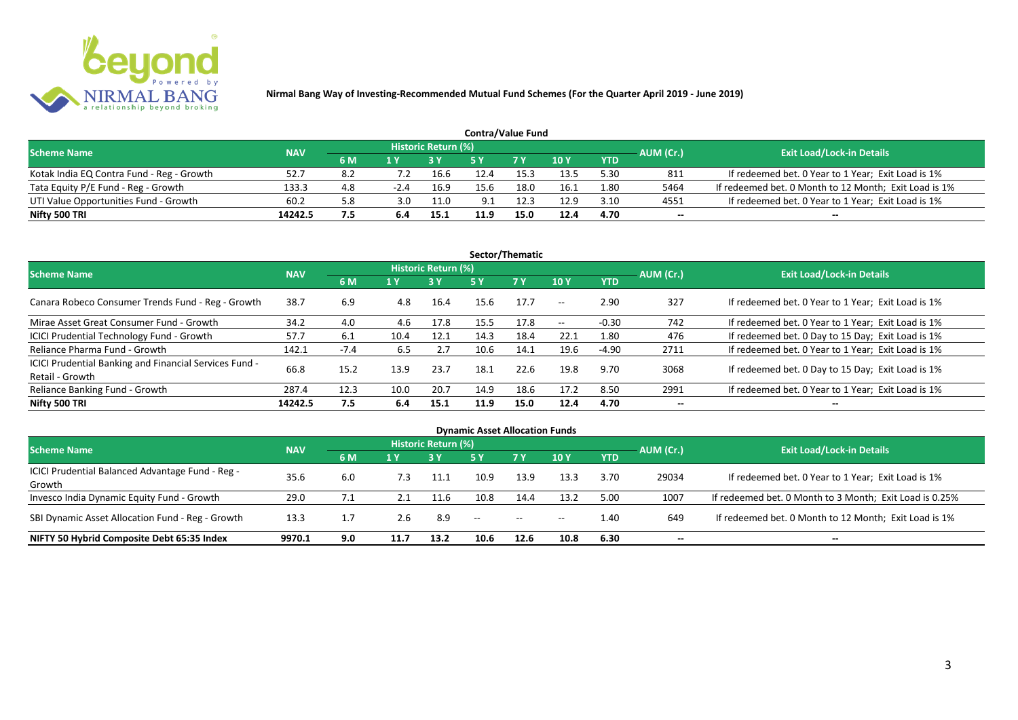

| <b>Contra/Value Fund</b>                  |            |     |      |                     |      |            |      |            |           |                                                       |  |  |  |
|-------------------------------------------|------------|-----|------|---------------------|------|------------|------|------------|-----------|-------------------------------------------------------|--|--|--|
| <b>Scheme Name</b>                        | <b>NAV</b> |     |      | Historic Return (%) |      |            |      |            | AUM (Cr.) | <b>Exit Load/Lock-in Details</b>                      |  |  |  |
|                                           |            | 6 M |      |                     |      | <b>7 Y</b> | 10Y  | <b>YTD</b> |           |                                                       |  |  |  |
| Kotak India EQ Contra Fund - Reg - Growth | 52.        |     |      | 16.6                | 12.4 | 15.3       | 13.5 | 5.30       | 811       | If redeemed bet. 0 Year to 1 Year; Exit Load is 1%    |  |  |  |
| Tata Equity P/E Fund - Reg - Growth       | 133.3      | 4.8 | -2.4 | 16.9                | 15.6 | 18.0       | 16.1 | 1.80       | 5464      | If redeemed bet. 0 Month to 12 Month; Exit Load is 1% |  |  |  |
| UTI Value Opportunities Fund - Growth     | 60.2       | 5.8 | 3.0  | 11.0                | 9.1  | 12.3       | 12.9 | 3.10       | 4551      | If redeemed bet. 0 Year to 1 Year; Exit Load is 1%    |  |  |  |
| Nifty 500 TRI                             | 14242.5    | 7.5 |      | 15.1                | 11.9 | 15.0       | 12.4 | 4.70       | --        | $- -$                                                 |  |  |  |

| Sector/Thematic                                                           |            |        |      |                            |      |           |                          |            |           |                                                    |  |  |  |
|---------------------------------------------------------------------------|------------|--------|------|----------------------------|------|-----------|--------------------------|------------|-----------|----------------------------------------------------|--|--|--|
| <b>Scheme Name</b>                                                        | <b>NAV</b> |        |      | <b>Historic Return (%)</b> |      |           |                          |            | AUM (Cr.) | <b>Exit Load/Lock-in Details</b>                   |  |  |  |
|                                                                           |            | 6 M    | 1 Y  | <b>3 Y</b>                 | 5 Y  | <b>7Y</b> | <b>10Y</b>               | <b>YTD</b> |           |                                                    |  |  |  |
| Canara Robeco Consumer Trends Fund - Reg - Growth                         | 38.7       | 6.9    | 4.8  | 16.4                       | 15.6 | 17.7      | $\sim$ $\sim$            | 2.90       | 327       | If redeemed bet. 0 Year to 1 Year; Exit Load is 1% |  |  |  |
| Mirae Asset Great Consumer Fund - Growth                                  | 34.2       | 4.0    | 4.6  | 17.8                       | 15.5 | 17.8      | $\overline{\phantom{a}}$ | $-0.30$    | 742       | If redeemed bet. 0 Year to 1 Year; Exit Load is 1% |  |  |  |
| <b>ICICI Prudential Technology Fund - Growth</b>                          | 57.7       | 6.1    | 10.4 | 12.1                       | 14.3 | 18.4      | 22.1                     | 1.80       | 476       | If redeemed bet. 0 Day to 15 Day; Exit Load is 1%  |  |  |  |
| Reliance Pharma Fund - Growth                                             | 142.1      | $-7.4$ | 6.5  | 2.7                        | 10.6 | 14.1      | 19.6                     | $-4.90$    | 2711      | If redeemed bet. 0 Year to 1 Year; Exit Load is 1% |  |  |  |
| ICICI Prudential Banking and Financial Services Fund -<br>Retail - Growth | 66.8       | 15.2   | 13.9 | 23.7                       | 18.1 | 22.6      | 19.8                     | 9.70       | 3068      | If redeemed bet. 0 Day to 15 Day; Exit Load is 1%  |  |  |  |
| Reliance Banking Fund - Growth                                            | 287.4      | 12.3   | 10.0 | 20.7                       | 14.9 | 18.6      | 17.2                     | 8.50       | 2991      | If redeemed bet. 0 Year to 1 Year; Exit Load is 1% |  |  |  |
| Nifty 500 TRI                                                             | 14242.5    | 7.5    | 6.4  | 15.1                       | 11.9 | 15.0      | 12.4                     | 4.70       | $- -$     | $\overline{\phantom{a}}$                           |  |  |  |

| <b>Dynamic Asset Allocation Funds</b>            |            |     |      |                            |                                                |           |            |            |           |                                                         |  |  |  |
|--------------------------------------------------|------------|-----|------|----------------------------|------------------------------------------------|-----------|------------|------------|-----------|---------------------------------------------------------|--|--|--|
| <b>Scheme Name</b>                               | <b>NAV</b> |     |      | <b>Historic Return (%)</b> |                                                |           |            |            |           | <b>Exit Load/Lock-in Details</b>                        |  |  |  |
|                                                  |            | 6 M | 1 Y  |                            | <b>5 Y</b>                                     | <b>7Y</b> | <b>10Y</b> | <b>YTD</b> | AUM (Cr.) |                                                         |  |  |  |
| ICICI Prudential Balanced Advantage Fund - Reg - | 35.6       |     | 7.3  | 11.1                       | 10.9                                           | 13.9      | 13.3       | 3.70       | 29034     | If redeemed bet. 0 Year to 1 Year; Exit Load is 1%      |  |  |  |
| Growth                                           |            | 6.0 |      |                            |                                                |           |            |            |           |                                                         |  |  |  |
| Invesco India Dynamic Equity Fund - Growth       | 29.0       | 7.1 |      | 11.6                       | 10.8                                           | 14.4      | 13.2       | 5.00       | 1007      | If redeemed bet. 0 Month to 3 Month; Exit Load is 0.25% |  |  |  |
| SBI Dynamic Asset Allocation Fund - Reg - Growth | 13.3       |     | 2.6  | 8.9                        | $\hspace{0.1mm}-\hspace{0.1mm}-\hspace{0.1mm}$ | $\sim$    | $- -$      | 1.40       | 649       | If redeemed bet. 0 Month to 12 Month; Exit Load is 1%   |  |  |  |
| NIFTY 50 Hybrid Composite Debt 65:35 Index       | 9970.1     | 9.0 | 11.7 | 13.2                       | 10.6                                           | 12.6      | 10.8       | 6.30       | --        | $- -$                                                   |  |  |  |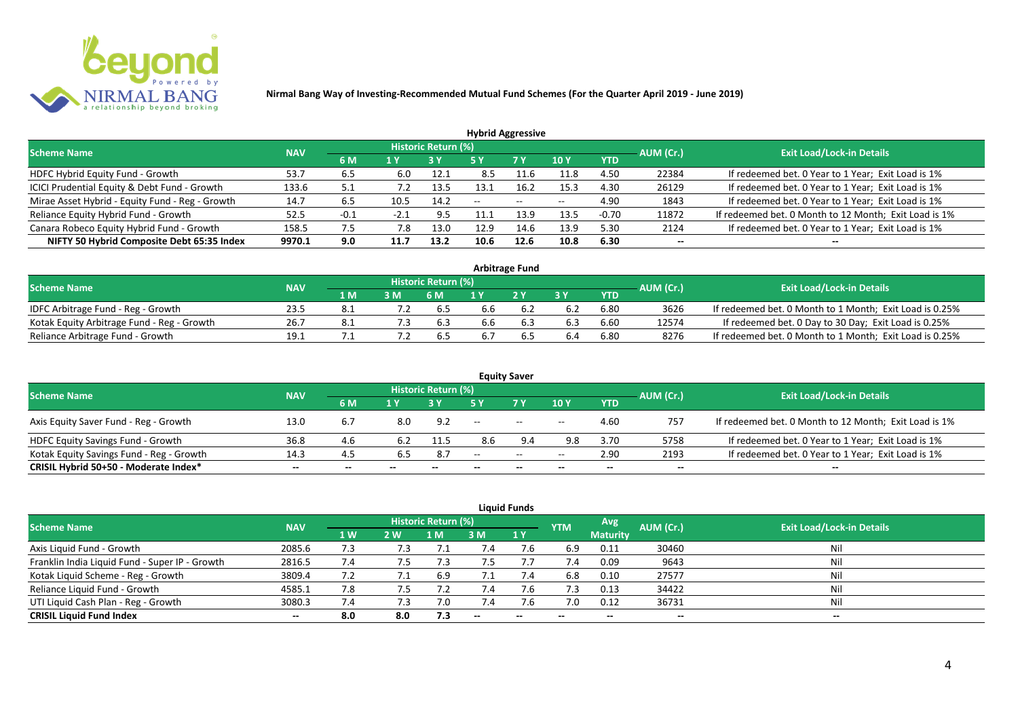

| <b>Hybrid Aggressive</b>                        |            |        |        |                     |                          |        |            |            |           |                                                       |  |  |  |
|-------------------------------------------------|------------|--------|--------|---------------------|--------------------------|--------|------------|------------|-----------|-------------------------------------------------------|--|--|--|
| <b>Scheme Name</b>                              | <b>NAV</b> |        |        | Historic Return (%) |                          |        |            |            | AUM (Cr.) | <b>Exit Load/Lock-in Details</b>                      |  |  |  |
|                                                 |            | 6 M    | 1 Y    |                     | 5 Y                      | 7 Y    | <b>10Y</b> | <b>YTD</b> |           |                                                       |  |  |  |
| HDFC Hybrid Equity Fund - Growth                | 53.7       | 6.5    | 6.0    | 12.1                | 8.5                      | $-1.6$ | 11.8       | 4.50       | 22384     | If redeemed bet. 0 Year to 1 Year; Exit Load is 1%    |  |  |  |
| ICICI Prudential Equity & Debt Fund - Growth    | 133.6      | 5.1    |        | 13.5                | 13.7                     | 16.2   | 15.3       | 4.30       | 26129     | If redeemed bet. 0 Year to 1 Year; Exit Load is 1%    |  |  |  |
| Mirae Asset Hybrid - Equity Fund - Reg - Growth | 14.7       | 6.5    | 10.5   | 14.2                | $\overline{\phantom{a}}$ | $\sim$ | $- -$      | 4.90       | 1843      | If redeemed bet. 0 Year to 1 Year; Exit Load is 1%    |  |  |  |
| Reliance Equity Hybrid Fund - Growth            | 52.5       | $-0.1$ | $-2.1$ | -9.5                |                          | 13.9   | 13.5       | $-0.70$    | 11872     | If redeemed bet. 0 Month to 12 Month; Exit Load is 1% |  |  |  |
| Canara Robeco Equity Hybrid Fund - Growth       | 158.5      | 7.5    | 7.8    | 13.0                | 12.9                     | 14.6   | 13.9       | 5.30       | 2124      | If redeemed bet. 0 Year to 1 Year; Exit Load is 1%    |  |  |  |
| NIFTY 50 Hybrid Composite Debt 65:35 Index      | 9970.1     | 9.0    | 11.7   | 13.2                | 10.6                     | 12.6   | 10.8       | 6.30       | $- -$     |                                                       |  |  |  |
|                                                 |            |        |        |                     |                          |        |            |            |           |                                                       |  |  |  |

| <b>Arbitrage Fund</b>                      |            |      |     |                            |     |     |     |            |           |                                                         |  |  |  |
|--------------------------------------------|------------|------|-----|----------------------------|-----|-----|-----|------------|-----------|---------------------------------------------------------|--|--|--|
| <b>Scheme Name</b>                         | <b>NAV</b> |      |     | <b>Historic Return (%)</b> |     |     |     |            | AUM (Cr.) | <b>Exit Load/Lock-in Details</b>                        |  |  |  |
|                                            |            | 1 M. |     | 6 M                        |     | 2V  |     | <b>YTD</b> |           |                                                         |  |  |  |
| IDFC Arbitrage Fund - Reg - Growth         | 23.5       |      |     | 6.5                        | p.b |     | 6.2 | 6.80       | 3626      | If redeemed bet. 0 Month to 1 Month; Exit Load is 0.25% |  |  |  |
| Kotak Equity Arbitrage Fund - Reg - Growth | 26.7       | -8.1 | 7.3 | 6.3                        | b.b | b.3 | 6.3 | 6.60       | 12574     | If redeemed bet. 0 Day to 30 Day; Exit Load is 0.25%    |  |  |  |
| Reliance Arbitrage Fund - Growth           | 19.1       |      |     | b.5                        |     |     | 6.4 | 6.80       | 8276      | If redeemed bet. 0 Month to 1 Month; Exit Load is 0.25% |  |  |  |

| <b>Equity Saver</b>                      |            |       |       |                            |                          |           |                          |            |                          |                                                       |  |  |  |
|------------------------------------------|------------|-------|-------|----------------------------|--------------------------|-----------|--------------------------|------------|--------------------------|-------------------------------------------------------|--|--|--|
| <b>Scheme Name</b>                       | <b>NAV</b> |       |       | <b>Historic Return (%)</b> |                          |           |                          |            | AUM (Cr.)                | <b>Exit Load/Lock-in Details</b>                      |  |  |  |
|                                          |            | 6 M   |       |                            |                          | <b>7Y</b> | <b>10Y</b>               | <b>YTD</b> |                          |                                                       |  |  |  |
| Axis Equity Saver Fund - Reg - Growth    | 13.0       |       | 8.0   | 9.2                        | $\overline{\phantom{a}}$ | $\sim$    | $\overline{\phantom{a}}$ | 4.60       | 757                      | If redeemed bet. 0 Month to 12 Month; Exit Load is 1% |  |  |  |
| <b>HDFC Equity Savings Fund - Growth</b> | 36.8       | 4.6   | 6.2   | 11.5                       | 8.6                      | 9.4       | 9.8                      | 3.70       | 5758                     | If redeemed bet. 0 Year to 1 Year; Exit Load is 1%    |  |  |  |
| Kotak Equity Savings Fund - Reg - Growth | 14.3       | 4.5   | 6.5   | 8.7                        | $-$                      | $\sim$    | $- -$                    | 2.90       | 2193                     | If redeemed bet. 0 Year to 1 Year; Exit Load is 1%    |  |  |  |
| CRISIL Hybrid 50+50 - Moderate Index*    | $- -$      | $- -$ | $- -$ | $- -$                      |                          | $- -$     | $\overline{\phantom{a}}$ | $- -$      | $\overline{\phantom{a}}$ | $- -$                                                 |  |  |  |

| <b>Liquid Funds</b>                            |            |           |     |                            |            |           |            |                 |           |                                  |  |  |  |  |
|------------------------------------------------|------------|-----------|-----|----------------------------|------------|-----------|------------|-----------------|-----------|----------------------------------|--|--|--|--|
| <b>Scheme Name</b>                             | <b>NAV</b> |           |     | <b>Historic Return (%)</b> |            |           | <b>YTM</b> | Avg             | AUM (Cr.) | <b>Exit Load/Lock-in Details</b> |  |  |  |  |
|                                                |            | <b>1W</b> | 2W  | 1 M                        | 3 M        | <b>1Y</b> |            | <b>Maturity</b> |           |                                  |  |  |  |  |
| Axis Liquid Fund - Growth                      | 2085.6     | 7.3       | 7.3 |                            | $\sqrt{4}$ | 7.6       | 6.9        | 0.11            | 30460     | Nil                              |  |  |  |  |
| Franklin India Liquid Fund - Super IP - Growth | 2816.5     | 7.4       | 7.5 | 7.3                        | 7.5        |           | 7.4        | 0.09            | 9643      | Nil                              |  |  |  |  |
| Kotak Liquid Scheme - Reg - Growth             | 3809.4     | 7.2       |     | 6.9                        |            | 7.4       | 6.8        | 0.10            | 27577     | Nil                              |  |  |  |  |
| Reliance Liquid Fund - Growth                  | 4585.1     | 7.8       | , א | 7.2                        | 7.4        | 7.b       | 7.3        | 0.13            | 34422     | Nil                              |  |  |  |  |
| UTI Liquid Cash Plan - Reg - Growth            | 3080.3     | 7.4       | 7.3 | 7.0                        | 7.4        | 7.6       | 7.0        | 0.12            | 36731     | Nil                              |  |  |  |  |
| <b>CRISIL Liquid Fund Index</b>                | $- -$      | 8.0       | 8.0 | 7.3                        | $\sim$     | $-$       | $- -$      | $- -$           | $- -$     | $\sim$                           |  |  |  |  |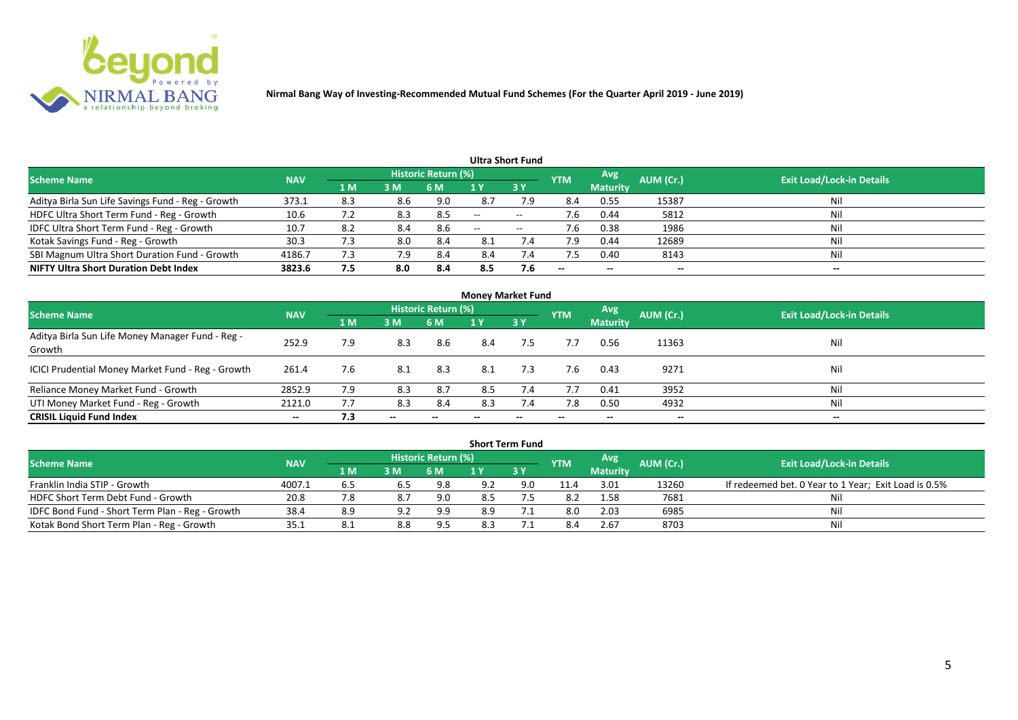

|                                                   |            |                |     |                            |                          | <b>Ultra Short Fund</b>  |            |                          |           |                                  |
|---------------------------------------------------|------------|----------------|-----|----------------------------|--------------------------|--------------------------|------------|--------------------------|-----------|----------------------------------|
| <b>Scheme Name</b>                                | <b>NAV</b> |                |     | <b>Historic Return (%)</b> |                          |                          | <b>YTM</b> | Avg                      | AUM (Cr.) | <b>Exit Load/Lock-in Details</b> |
|                                                   |            | 1 <sub>M</sub> | 3 M | 6 M                        |                          | 3Y                       |            | <b>Maturity</b>          |           |                                  |
| Aditya Birla Sun Life Savings Fund - Reg - Growth | 373.1      | 8.3            | 8.6 | 9.0                        | 8.7                      | 7.9                      | 8.4        | 0.55                     | 15387     | Nil                              |
| HDFC Ultra Short Term Fund - Reg - Growth         | 10.6       |                | 8.3 | 8.5                        | $\overline{\phantom{a}}$ | $\overline{\phantom{a}}$ | 7.6        | 0.44                     | 5812      | Nil                              |
| IDFC Ultra Short Term Fund - Reg - Growth         | 10.7       | 8.2            | 8.4 | 8.6                        | $\overline{\phantom{a}}$ | $- -$                    | 7.6        | 0.38                     | 1986      | Nil                              |
| Kotak Savings Fund - Reg - Growth                 | 30.3       | 7.3            | 8.0 | -8.4                       | 8.1                      | 7.4                      | 7.9        | 0.44                     | 12689     | Nil                              |
| SBI Magnum Ultra Short Duration Fund - Growth     | 4186.7     | 7.3            | 7.9 | 8.4                        | 8.4                      | $\sqrt{.4}$              | 7.5        | 0.40                     | 8143      | Nil                              |
| <b>NIFTY Ultra Short Duration Debt Index</b>      | 3823.6     | 7.5            | 8.0 | -8.4                       | 8.5                      | 7.6                      | $- -$      | $\overline{\phantom{a}}$ | --        | $- -$                            |

| <b>Money Market Fund</b>                                   |            |     |                          |                     |     |           |            |                 |                          |                                  |  |  |  |
|------------------------------------------------------------|------------|-----|--------------------------|---------------------|-----|-----------|------------|-----------------|--------------------------|----------------------------------|--|--|--|
| <b>Scheme Name</b>                                         | <b>NAV</b> |     |                          | Historic Return (%) |     |           | <b>YTM</b> | <b>Avg.</b>     | AUM (Cr.)                | <b>Exit Load/Lock-in Details</b> |  |  |  |
|                                                            |            | 1 M | 3M                       | 6 M                 | 1 Y | <b>3Y</b> |            | <b>Maturity</b> |                          |                                  |  |  |  |
| Aditya Birla Sun Life Money Manager Fund - Reg -<br>Growth | 252.9      | 7.9 | 8.3                      | 8.6                 | 8.4 | 7.5       | 7.7        | 0.56            | 11363                    | Nil                              |  |  |  |
| ICICI Prudential Money Market Fund - Reg - Growth          | 261.4      | 7.6 | 8.1                      | 8.3                 | 8.1 | 7.3       | 7.6        | 0.43            | 9271                     | Nil                              |  |  |  |
| Reliance Money Market Fund - Growth                        | 2852.9     | 7.9 | 8.3                      | 8.7                 | 8.5 | 7.4       | 7.7        | 0.41            | 3952                     | Nil                              |  |  |  |
| UTI Money Market Fund - Reg - Growth                       | 2121.0     |     | 8.3                      | 8.4                 | 8.3 |           | 7.8        | 0.50            | 4932                     | Nil                              |  |  |  |
| <b>CRISIL Liquid Fund Index</b>                            | $- -$      | 7.3 | $\overline{\phantom{a}}$ |                     |     | --        |            | $- -$           | $\overline{\phantom{a}}$ | $- -$                            |  |  |  |

| <b>Short Term Fund</b>                          |            |             |     |                            |     |      |            |                 |           |                                                      |  |  |  |
|-------------------------------------------------|------------|-------------|-----|----------------------------|-----|------|------------|-----------------|-----------|------------------------------------------------------|--|--|--|
| <b>Scheme Name</b>                              | <b>NAV</b> |             |     | <b>Historic Return (%)</b> |     |      | <b>YTM</b> | <b>Avg</b>      | AUM (Cr.) | <b>Exit Load/Lock-in Details</b>                     |  |  |  |
|                                                 |            | <b>4 MZ</b> | 3M  | 6 M                        |     | 73 Y |            | <b>Maturity</b> |           |                                                      |  |  |  |
| Franklin India STIP - Growth                    | 4007.1     | 6.5         | 6.5 | 9.8                        | 9.2 | 9.0  | 11.4       | 3.01            | 13260     | If redeemed bet. 0 Year to 1 Year; Exit Load is 0.5% |  |  |  |
| HDFC Short Term Debt Fund - Growth              | 20.8       |             | 8.7 | 9.0                        | 8.5 |      | 8.2        | 1.58            | 7681      | Ni                                                   |  |  |  |
| IDFC Bond Fund - Short Term Plan - Reg - Growth | 38.4       | 8.9         | 9.2 | 9.9                        | 8.9 |      | 8.0        | 2.03            | 6985      | Nil                                                  |  |  |  |
| Kotak Bond Short Term Plan - Reg - Growth       | 35.1       | 8.1         | 8.8 | 9.5                        | 8.3 |      |            | 2.67            | 8703      | Nil                                                  |  |  |  |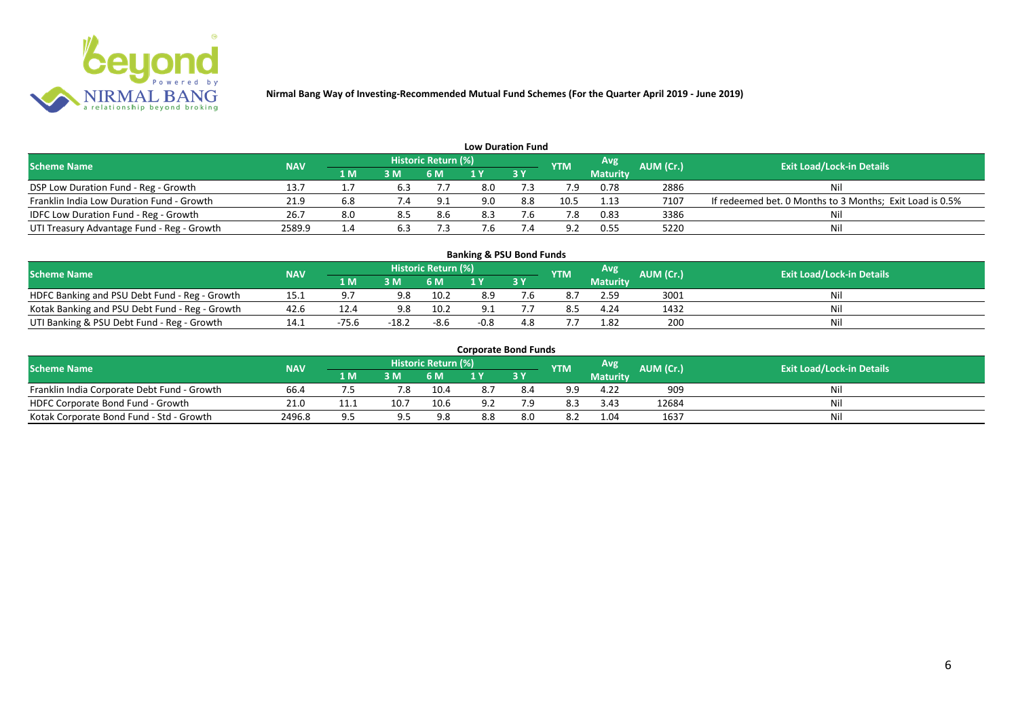

| <b>Low Duration Fund</b>                     |            |     |     |                     |     |           |            |                 |           |                                                          |  |  |  |
|----------------------------------------------|------------|-----|-----|---------------------|-----|-----------|------------|-----------------|-----------|----------------------------------------------------------|--|--|--|
| <b>Scheme Name</b>                           | <b>NAV</b> |     |     | Historic Return (%) |     |           | <b>YTM</b> | Avg             | AUM (Cr.) | <b>Exit Load/Lock-in Details</b>                         |  |  |  |
|                                              |            | 1 M | 3M  | <b>6 M</b>          |     | <b>3Y</b> |            | <b>Maturity</b> |           |                                                          |  |  |  |
| DSP Low Duration Fund - Reg - Growth         | 13.7       |     | 6.3 |                     | 8.0 |           |            | 0.78            | 2886      | Nil                                                      |  |  |  |
| Franklin India Low Duration Fund - Growth    | 21.9       |     | 7.4 | 9.1                 | 9.0 | 8.8       | 10.5       | 1.13            | 7107      | If redeemed bet. 0 Months to 3 Months; Exit Load is 0.5% |  |  |  |
| <b>IDFC Low Duration Fund - Reg - Growth</b> | 26.7       |     | 8.5 | 8.6                 | 8.3 |           |            | 0.83            | 3386      | Nil                                                      |  |  |  |
| UTI Treasury Advantage Fund - Reg - Growth   | 2589.9     | 1.4 | 6.3 |                     | '.b |           | ാ          | 0.55            | 5220      | Nil                                                      |  |  |  |

# **Banking & PSU Bond Funds**

| <b>Scheme Name</b>                             | <b>NAV</b> |         |       | Historic Return (%) |     |      | <b>YTM</b> | Avg             | <b>AUM (Cr.)</b> | <b>Exit Load/Lock-in Details</b> |
|------------------------------------------------|------------|---------|-------|---------------------|-----|------|------------|-----------------|------------------|----------------------------------|
|                                                |            | 1 M     | 3M    | 6 M                 |     | 13 Y |            | <b>Maturity</b> |                  |                                  |
| HDFC Banking and PSU Debt Fund - Reg - Growth  | 19.1       |         |       | 10.2                | 8.9 |      |            | 2.59            | 3001             |                                  |
| Kotak Banking and PSU Debt Fund - Reg - Growth | 42.6       | 12.4    |       | 10.2                |     |      |            | 4.24            | 1432             |                                  |
| UTI Banking & PSU Debt Fund - Reg - Growth     |            | $-75.6$ | ے:18- | -8.6                |     |      |            | 1.82            | 200              |                                  |

#### **Corporate Bond Funds**

| <b>Scheme Name</b>                          | <b>NAV</b> |      |      | <b>Historic Return (%)</b> |     |     | <b>YTM</b> | Avg             | AUM (Cr.). | <b>Exit Load/Lock-in Details</b> |
|---------------------------------------------|------------|------|------|----------------------------|-----|-----|------------|-----------------|------------|----------------------------------|
|                                             |            | 1 M  | в м  |                            |     | 3Y  |            | <b>Maturity</b> |            |                                  |
| Franklin India Corporate Debt Fund - Growth | 66.4       |      | 7.8  | 10.4                       |     |     | a a        | 4.22            | 909        | Nil                              |
| HDFC Corporate Bond Fund - Growth           | 21.0       | 11.1 | 10.7 | 10.6                       | о.  | ם ד | 8.3        | 3.43            | 12684      | Nil                              |
| Kotak Corporate Bond Fund - Std - Growth    | 2496.8     |      |      | 9.8                        | 8.8 | 8.0 | 8.2        | 1.04            | 1637       | Nil                              |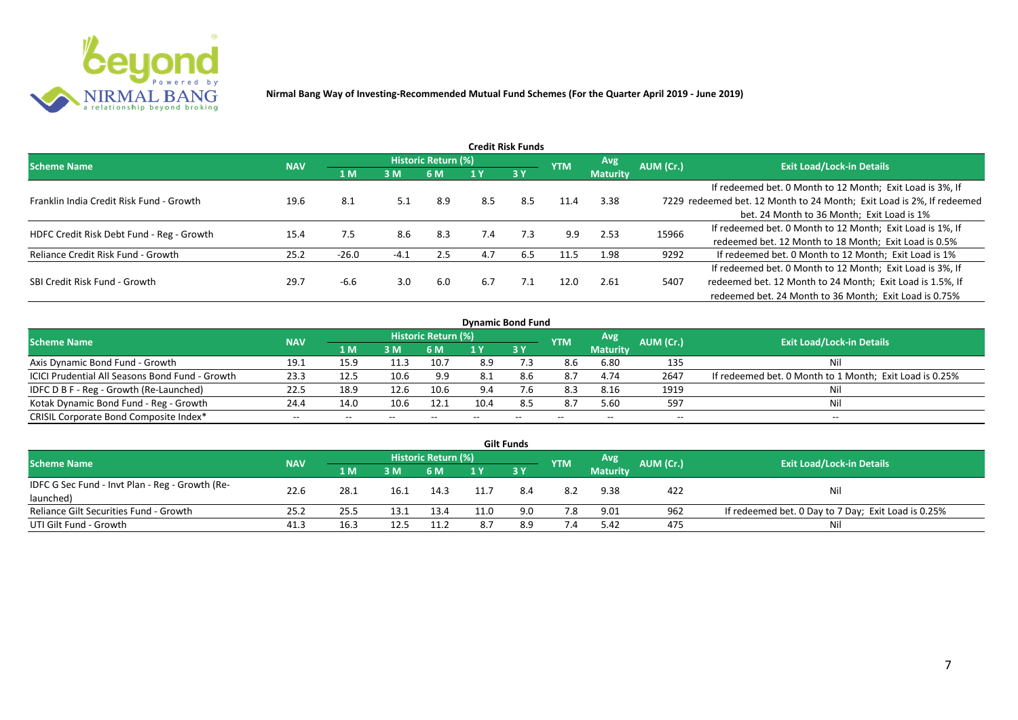

| Credit Risk Funds                         |            |         |        |                     |     |           |            |                 |           |                                                                       |  |  |  |
|-------------------------------------------|------------|---------|--------|---------------------|-----|-----------|------------|-----------------|-----------|-----------------------------------------------------------------------|--|--|--|
| <b>Scheme Name</b>                        | <b>NAV</b> |         |        | Historic Return (%) |     |           | <b>YTM</b> | <b>Avg</b>      | AUM (Cr.) | <b>Exit Load/Lock-in Details</b>                                      |  |  |  |
|                                           |            | 1 M     | 3M     | 6 M                 |     | <b>3Y</b> |            | <b>Maturity</b> |           |                                                                       |  |  |  |
|                                           |            |         |        |                     |     |           |            |                 |           | If redeemed bet. 0 Month to 12 Month; Exit Load is 3%, If             |  |  |  |
| Franklin India Credit Risk Fund - Growth  | 19.6       | 8.1     | 5.1    | 8.9                 | 8.5 | 8.5       | 11.4       | 3.38            |           | 7229 redeemed bet. 12 Month to 24 Month; Exit Load is 2%, If redeemed |  |  |  |
|                                           |            |         |        |                     |     |           |            |                 |           | bet. 24 Month to 36 Month; Exit Load is 1%                            |  |  |  |
| HDFC Credit Risk Debt Fund - Reg - Growth | 15.4       | 7.5     | 8.6    | 8.3                 | 7.4 | 7.3       | 9.9        | 2.53            | 15966     | If redeemed bet. 0 Month to 12 Month; Exit Load is 1%, If             |  |  |  |
|                                           |            |         |        |                     |     |           |            |                 |           | redeemed bet. 12 Month to 18 Month; Exit Load is 0.5%                 |  |  |  |
| Reliance Credit Risk Fund - Growth        | 25.2       | $-26.0$ | $-4.1$ | 2.5                 | 4.7 | 6.5       | 11.5       | 1.98            | 9292      | If redeemed bet. 0 Month to 12 Month; Exit Load is 1%                 |  |  |  |
|                                           |            |         |        |                     |     |           |            |                 |           | If redeemed bet. 0 Month to 12 Month; Exit Load is 3%, If             |  |  |  |
| SBI Credit Risk Fund - Growth             | 29.7       | -6.6    | 3.0    | 6.0                 | 6.7 | 7.1       | 12.0       | 2.61            | 5407      | redeemed bet. 12 Month to 24 Month; Exit Load is 1.5%, If             |  |  |  |
|                                           |            |         |        |                     |     |           |            |                 |           | redeemed bet. 24 Month to 36 Month; Exit Load is 0.75%                |  |  |  |

| <b>Dynamic Bond Fund</b>                               |            |      |       |                            |      |     |            |                          |                          |                                                         |  |  |  |  |
|--------------------------------------------------------|------------|------|-------|----------------------------|------|-----|------------|--------------------------|--------------------------|---------------------------------------------------------|--|--|--|--|
| <b>Scheme Name</b>                                     | <b>NAV</b> |      |       | <b>Historic Return (%)</b> |      |     | <b>YTM</b> | Avg                      | AUM (Cr.)                | <b>Exit Load/Lock-in Details</b>                        |  |  |  |  |
|                                                        |            | 1 M  | 3M    | 6 M                        |      | 3Y  |            | <b>Maturity</b>          |                          |                                                         |  |  |  |  |
| Axis Dynamic Bond Fund - Growth                        | 19.1       | 15.9 |       | 10.7                       | 8.9  |     | 8.6        | 6.80                     | 135                      | Nil                                                     |  |  |  |  |
| <b>ICICI Prudential All Seasons Bond Fund - Growth</b> | 23.3       | 12.5 | 10.6  | 9.9                        | 8.1  | 8.6 | 8.7        | 4.74                     | 2647                     | If redeemed bet. 0 Month to 1 Month; Exit Load is 0.25% |  |  |  |  |
| IDFC D B F - Reg - Growth (Re-Launched)                | 22.5       | 18.9 | 12.6  | 10.6                       | 9.4  | 7.6 | 8.3        | 8.16                     | 1919                     | Nil                                                     |  |  |  |  |
| Kotak Dynamic Bond Fund - Reg - Growth                 | 24.4       | 14.0 | 10.6  | 12.1                       | 10.4 | 8.5 | 8.7        | 5.60                     | 597                      | Nil                                                     |  |  |  |  |
| CRISIL Corporate Bond Composite Index*                 | $- -$      | --   | $- -$ |                            |      | --  | $- -$      | $\overline{\phantom{a}}$ | $\overline{\phantom{a}}$ | $- -$                                                   |  |  |  |  |

|                                                 |            |            |      |                     | <b>Gilt Funds</b> |            |                 |           |                                                     |
|-------------------------------------------------|------------|------------|------|---------------------|-------------------|------------|-----------------|-----------|-----------------------------------------------------|
| <b>Scheme Name</b>                              | <b>NAV</b> |            |      | Historic Return (%) |                   | <b>YTM</b> | Avg             | AUM (Cr.) | <b>Exit Load/Lock-in Details</b>                    |
|                                                 |            | <b>1 M</b> | 3 M  | 6 M                 | $-3V$             |            | <b>Maturity</b> |           |                                                     |
| IDFC G Sec Fund - Invt Plan - Reg - Growth (Re- | 22.6       | 28.1       | 16.1 | 14.3                |                   | 8.2        | 9.38            | 422       | Nil                                                 |
| launched)                                       |            |            |      |                     |                   |            |                 |           |                                                     |
| Reliance Gilt Securities Fund - Growth          | 25.2       | 25.5       | 13.1 | 13.4                | 9.0               | 7.8        | 9.01            | 962       | If redeemed bet. 0 Day to 7 Day; Exit Load is 0.25% |
| UTI Gilt Fund - Growth                          | 41.3       | 16.3       | 12.5 | 11.2                | 8.9               | 7.4        | 5.42            | 475       | Nil                                                 |